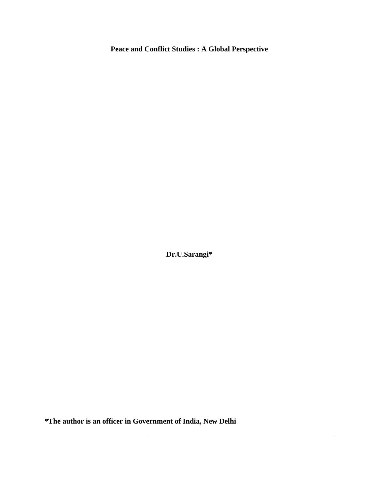# **Peace and Conflict Studies : A Global Perspective**

**Dr.U.Sarangi\***

\_\_\_\_\_\_\_\_\_\_\_\_\_\_\_\_\_\_\_\_\_\_\_\_\_\_\_\_\_\_\_\_\_\_\_\_\_\_\_\_\_\_\_\_\_\_\_\_\_\_\_\_\_\_\_\_\_\_\_\_\_\_\_\_\_\_\_\_\_\_\_\_\_\_\_\_\_\_

**\*The author is an officer in Government of India, New Delhi**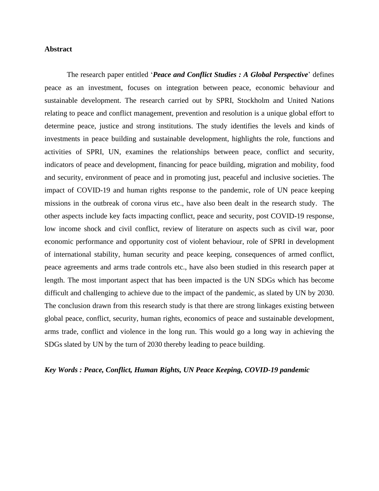## **Abstract**

The research paper entitled '*Peace and Conflict Studies : A Global Perspective*' defines peace as an investment, focuses on integration between peace, economic behaviour and sustainable development. The research carried out by SPRI, Stockholm and United Nations relating to peace and conflict management, prevention and resolution is a unique global effort to determine peace, justice and strong institutions. The study identifies the levels and kinds of investments in peace building and sustainable development, highlights the role, functions and activities of SPRI, UN, examines the relationships between peace, conflict and security, indicators of peace and development, financing for peace building, migration and mobility, food and security, environment of peace and in promoting just, peaceful and inclusive societies. The impact of COVID-19 and human rights response to the pandemic, role of UN peace keeping missions in the outbreak of corona virus etc., have also been dealt in the research study. The other aspects include key facts impacting conflict, peace and security, post COVID-19 response, low income shock and civil conflict, review of literature on aspects such as civil war, poor economic performance and opportunity cost of violent behaviour, role of SPRI in development of international stability, human security and peace keeping, consequences of armed conflict, peace agreements and arms trade controls etc., have also been studied in this research paper at length. The most important aspect that has been impacted is the UN SDGs which has become difficult and challenging to achieve due to the impact of the pandemic, as slated by UN by 2030. The conclusion drawn from this research study is that there are strong linkages existing between global peace, conflict, security, human rights, economics of peace and sustainable development, arms trade, conflict and violence in the long run. This would go a long way in achieving the SDGs slated by UN by the turn of 2030 thereby leading to peace building.

*Key Words : Peace, Conflict, Human Rights, UN Peace Keeping, COVID-19 pandemic*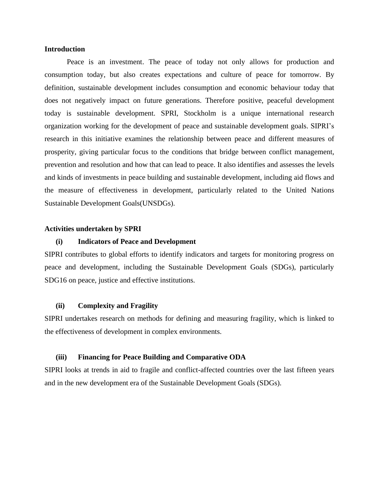## **Introduction**

Peace is an investment. The peace of today not only allows for production and consumption today, but also creates expectations and culture of peace for tomorrow. By definition, sustainable development includes consumption and economic behaviour today that does not negatively impact on future generations. Therefore positive, peaceful development today is sustainable development. SPRI, Stockholm is a unique international research organization working for the development of peace and sustainable development goals. SIPRI's research in this initiative examines the relationship between peace and different measures of prosperity, giving particular focus to the conditions that bridge between conflict management, prevention and resolution and how that can lead to peace. It also identifies and assesses the levels and kinds of investments in peace building and sustainable development, including aid flows and the measure of effectiveness in development, particularly related to the United Nations Sustainable Development Goals(UNSDGs).

### **Activities undertaken by SPRI**

# **(i) Indicators of Peace and Development**

SIPRI contributes to global efforts to identify indicators and targets for monitoring progress on peace and development, including the Sustainable Development Goals (SDGs), particularly SDG16 on peace, justice and effective institutions.

### **(ii) Complexity and Fragility**

SIPRI undertakes research on methods for defining and measuring fragility, which is linked to the effectiveness of development in complex environments.

#### **(iii) Financing for Peace Building and Comparative ODA**

SIPRI looks at trends in aid to fragile and conflict-affected countries over the last fifteen years and in the new development era of the Sustainable Development Goals (SDGs).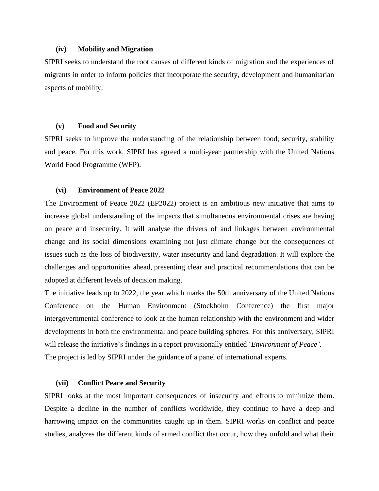## **(iv) Mobility and Migration**

SIPRI seeks to understand the root causes of different kinds of migration and the experiences of migrants in order to inform policies that incorporate the security, development and humanitarian aspects of mobility.

## **(v) Food and Security**

SIPRI seeks to improve the understanding of the relationship between food, security, stability and peace. For this work, SIPRI has agreed a multi-year partnership with the United Nations World Food Programme (WFP).

#### **(vi) Environment of Peace 2022**

The Environment of Peace 2022 (EP2022) project is an ambitious new initiative that aims to increase global understanding of the impacts that simultaneous environmental crises are having on peace and insecurity. It will analyse the drivers of and linkages between environmental change and its social dimensions examining not just climate change but the consequences of issues such as the loss of biodiversity, water insecurity and land degradation. It will explore the challenges and opportunities ahead, presenting clear and practical recommendations that can be adopted at different levels of decision making.

The initiative leads up to 2022, the year which marks the 50th anniversary of the United Nations Conference on the Human Environment (Stockholm Conference) the first major intergovernmental conference to look at the human relationship with the environment and wider developments in both the environmental and peace building spheres. For this anniversary, SIPRI will release the initiative's findings in a report provisionally entitled '*Environment of Peace'*. The project is led by SIPRI under the guidance of a panel of international experts.

## **(vii) Conflict Peace and Security**

SIPRI looks at the most important consequences of insecurity and efforts to minimize them. Despite a decline in the number of conflicts worldwide, they continue to have a deep and harrowing impact on the communities caught up in them. SIPRI works on conflict and peace studies, analyzes the different kinds of armed conflict that occur, how they unfold and what their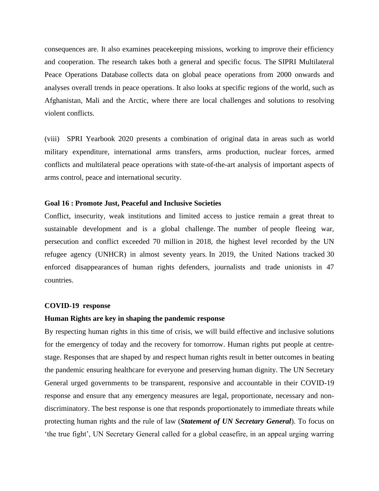consequences are. It also examines peacekeeping missions, working to improve their efficiency and cooperation. The research takes both a general and specific focus. The SIPRI Multilateral Peace Operations Database collects data on global peace operations from 2000 onwards and analyses overall trends in peace operations. It also looks at specific regions of the world, such as Afghanistan, Mali and the Arctic, where there are local challenges and solutions to resolving violent conflicts.

(viii) SPRI Yearbook 2020 presents a combination of original data in areas such as world military expenditure, international arms transfers, arms production, nuclear forces, armed conflicts and multilateral peace operations with state-of-the-art analysis of important aspects of arms control, peace and international security.

# **Goal 16 : Promote Just, Peaceful and Inclusive Societies**

Conflict, insecurity, weak institutions and limited access to justice remain a great threat to sustainable development and is a global challenge. The number of people fleeing war, persecution and conflict exceeded 70 million in 2018, the highest level recorded by the UN refugee agency (UNHCR) in almost seventy years. In 2019, the United Nations tracked 30 enforced disappearances of human rights defenders, journalists and trade unionists in 47 countries.

### **COVID-19 response**

## **Human Rights are key in shaping the pandemic response**

By respecting human rights in this time of crisis, we will build effective and inclusive solutions for the emergency of today and the recovery for tomorrow. Human rights put people at centrestage. Responses that are shaped by and respect human rights result in better outcomes in beating the pandemic ensuring healthcare for everyone and preserving human dignity. The UN Secretary General urged governments to be transparent, responsive and accountable in their COVID-19 response and ensure that any emergency measures are legal, proportionate, necessary and nondiscriminatory. The best response is one that responds proportionately to immediate threats while protecting human rights and the rule of law (*Statement of UN Secretary General*). To focus on 'the true fight', UN Secretary General called for a global ceasefire, in an appeal urging warring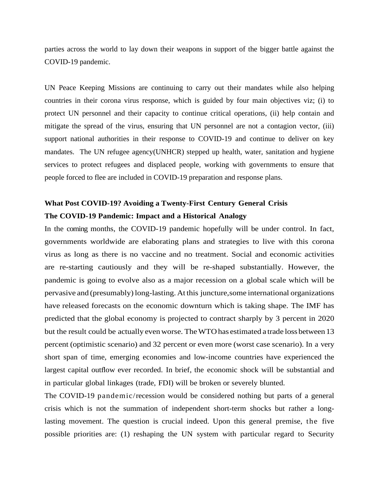parties across the world to lay down their weapons in support of the bigger battle against the COVID-19 pandemic.

UN Peace Keeping Missions are continuing to carry out their mandates while also helping countries in their corona virus response, which is guided by four main objectives viz; (i) to protect UN personnel and their capacity to continue critical operations, (ii) help contain and mitigate the spread of the virus, ensuring that UN personnel are not a contagion vector, (iii) support national authorities in their response to COVID-19 and continue to deliver on key mandates. The UN refugee agency(UNHCR) stepped up health, water, sanitation and hygiene services to protect refugees and displaced people, working with governments to ensure that people forced to flee are included in COVID-19 preparation and response plans.

# **What Post COVID-19? Avoiding a Twenty-First Century General Crisis The COVID-19 Pandemic: Impact and a Historical Analogy**

In the coming months, the COVID-19 pandemic hopefully will be under control. In fact, governments worldwide are elaborating plans and strategies to live with this corona virus as long as there is no vaccine and no treatment. Social and economic activities are re-starting cautiously and they will be re-shaped substantially. However, the pandemic is going to evolve also as a major recession on a global scale which will be pervasive and (presumably)long-lasting. At this juncture,some international organizations have released forecasts on the economic downturn which is taking shape. The IMF has predicted that the global economy is projected to contract sharply by 3 percent in 2020 but the result could be actually even worse. TheWTOhas estimated a trade loss between 13 percent (optimistic scenario) and 32 percent or even more (worst case scenario). In a very short span of time, emerging economies and low-income countries have experienced the largest capital outflow ever recorded. In brief, the economic shock will be substantial and in particular global linkages (trade, FDI) will be broken or severely blunted.

The COVID-19 pandemic/recession would be considered nothing but parts of a general crisis which is not the summation of independent short-term shocks but rather a longlasting movement. The question is crucial indeed. Upon this general premise, the five possible priorities are: (1) reshaping the UN system with particular regard to Security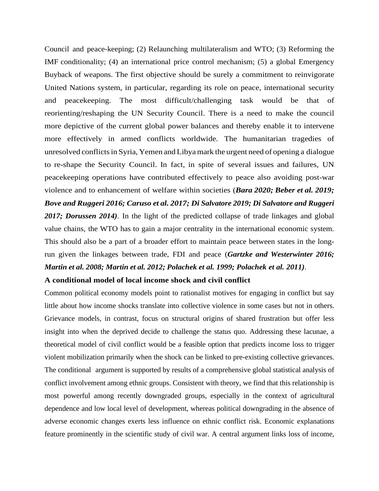Council and peace-keeping; (2) Relaunching multilateralism and WTO; (3) Reforming the IMF conditionality; (4) an international price control mechanism; (5) a global Emergency Buyback of weapons. The first objective should be surely a commitment to reinvigorate United Nations system, in particular, regarding its role on peace, international security and peacekeeping. The most difficult/challenging task would be that of reorienting/reshaping the UN Security Council. There is a need to make the council more depictive of the current global power balances and thereby enable it to intervene more effectively in armed conflicts worldwide. The humanitarian tragedies of unresolved conflictsin Syria, Yemen and Libyamark the urgent need of opening a dialogue to re-shape the Security Council. In fact, in spite of several issues and failures, UN peacekeeping operations have contributed effectively to peace also avoiding post-war violence and to enhancement of welfare within societies (*Bara 2020; Beber et al. 2019; Bove and Ruggeri 2016; Caruso et al. 2017; Di Salvatore 2019; Di Salvatore and Ruggeri 2017; Dorussen 2014)*. In the light of the predicted collapse of trade linkages and global value chains, the WTO has to gain a major centrality in the international economic system. This should also be a part of a broader effort to maintain peace between states in the longrun given the linkages between trade, FDI and peace (*Gartzke and Westerwinter 2016; Martin et al. 2008; Martin et al. 2012; Polachek et al. 1999; Polachek et al. 2011)*.

## **A conditional model of local income shock and civil conflict**

Common political economy models point to rationalist motives for engaging in conflict but say little about how income shocks translate into collective violence in some cases but not in others. Grievance models, in contrast, focus on structural origins of shared frustration but offer less insight into when the deprived decide to challenge the status quo. Addressing these lacunae, a theoretical model of civil conflict would be a feasible option that predicts income loss to trigger violent mobilization primarily when the shock can be linked to pre-existing collective grievances. The conditional argument is supported by results of a comprehensive global statistical analysis of conflict involvement among ethnic groups. Consistent with theory, we find that this relationship is most powerful among recently downgraded groups, especially in the context of agricultural dependence and low local level of development, whereas political downgrading in the absence of adverse economic changes exerts less influence on ethnic conflict risk. Economic explanations feature prominently in the scientific study of civil war. A central argument links loss of income,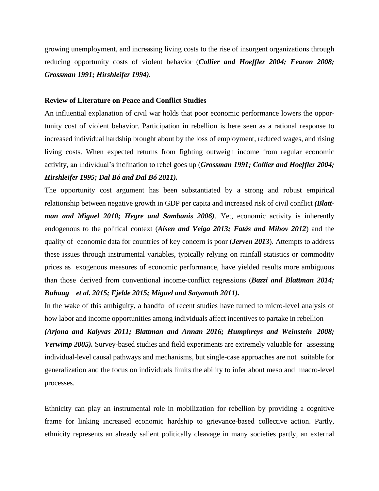growing unemployment, and increasing living costs to the rise of insurgent organizations through reducing opportunity costs of violent behavior (*Collier and Hoeffler 2004; Fearon 2008; Grossman 1991; Hirshleifer 1994).*

### **Review of Literature on Peace and Conflict Studies**

An influential explanation of civil war holds that poor economic performance lowers the opportunity cost of violent behavior. Participation in rebellion is here seen as a rational response to increased individual hardship brought about by the loss of employment, reduced wages, and rising living costs. When expected returns from fighting outweigh income from regular economic activity, an individual's inclination to rebel goes up (*Grossman 1991; Collier and Hoeffler 2004; Hirshleifer 1995; Dal Bó and Dal Bó 2011).*

The opportunity cost argument has been substantiated by a strong and robust empirical relationship between negative growth in GDP per capita and increased risk of civil conflict *(Blattman and Miguel 2010; Hegre and Sambanis 2006)*. Yet, economic activity is inherently endogenous to the political context (*Aisen and Veiga 2013; Fatás and Mihov 2012*) and the quality of economic data for countries of key concern is poor (*Jerven 2013*). Attempts to address these issues through instrumental variables, typically relying on rainfall statistics or commodity prices as exogenous measures of economic performance, have yielded results more ambiguous than those derived from conventional income-conflict regressions (*Bazzi and Blattman 2014; Buhaug et al. 2015; Fjelde 2015; Miguel and Satyanath 2011).*

In the wake of this ambiguity, a handful of recent studies have turned to micro-level analysis of how labor and income opportunities among individuals affect incentives to partake in rebellion

*(Arjona and Kalyvas 2011; Blattman and Annan 2016; Humphreys and Weinstein 2008; Verwimp 2005).* Survey-based studies and field experiments are extremely valuable for assessing individual-level causal pathways and mechanisms, but single-case approaches are not suitable for generalization and the focus on individuals limits the ability to infer about meso and macro-level processes.

Ethnicity can play an instrumental role in mobilization for rebellion by providing a cognitive frame for linking increased economic hardship to grievance-based collective action. Partly, ethnicity represents an already salient politically cleavage in many societies partly, an external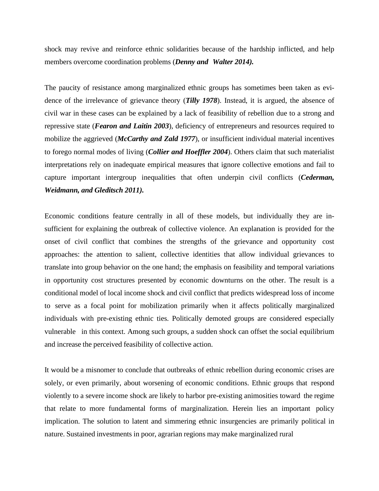shock may revive and reinforce ethnic solidarities because of the hardship inflicted, and help members overcome coordination problems (*Denny and Walter 2014).* 

The paucity of resistance among marginalized ethnic groups has sometimes been taken as evidence of the irrelevance of grievance theory (*Tilly 1978*). Instead, it is argued, the absence of civil war in these cases can be explained by a lack of feasibility of rebellion due to a strong and repressive state (*Fearon and Laitin 2003*), deficiency of entrepreneurs and resources required to mobilize the aggrieved (*McCarthy and Zald 1977*), or insufficient individual material incentives to forego normal modes of living (*Collier and Hoeffler 2004*). Others claim that such materialist interpretations rely on inadequate empirical measures that ignore collective emotions and fail to capture important intergroup inequalities that often underpin civil conflicts (*Cederman, Weidmann, and Gleditsch 2011).*

Economic conditions feature centrally in all of these models, but individually they are insufficient for explaining the outbreak of collective violence. An explanation is provided for the onset of civil conflict that combines the strengths of the grievance and opportunity cost approaches: the attention to salient, collective identities that allow individual grievances to translate into group behavior on the one hand; the emphasis on feasibility and temporal variations in opportunity cost structures presented by economic downturns on the other. The result is a conditional model of local income shock and civil conflict that predicts widespread loss of income to serve as a focal point for mobilization primarily when it affects politically marginalized individuals with pre-existing ethnic ties. Politically demoted groups are considered especially vulnerable in this context. Among such groups, a sudden shock can offset the social equilibrium and increase the perceived feasibility of collective action.

It would be a misnomer to conclude that outbreaks of ethnic rebellion during economic crises are solely, or even primarily, about worsening of economic conditions. Ethnic groups that respond violently to a severe income shock are likely to harbor pre-existing animosities toward the regime that relate to more fundamental forms of marginalization. Herein lies an important policy implication. The solution to latent and simmering ethnic insurgencies are primarily political in nature. Sustained investments in poor, agrarian regions may make marginalized rural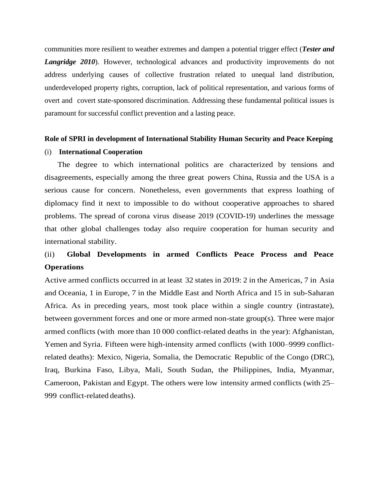communities more resilient to weather extremes and dampen a potential trigger effect (*Tester and Langridge 2010*). However, technological advances and productivity improvements do not address underlying causes of collective frustration related to unequal land distribution, underdeveloped property rights, corruption, lack of political representation, and various forms of overt and covert state-sponsored discrimination. Addressing these fundamental political issues is paramount for successful conflict prevention and a lasting peace.

### **Role of SPRI in development of International Stability Human Security and Peace Keeping**

## (i) **International Cooperation**

 The degree to which international politics are characterized by tensions and disagreements, especially among the three great powers China, Russia and the USA is a serious cause for concern. Nonetheless, even governments that express loathing of diplomacy find it next to impossible to do without cooperative approaches to shared problems. The spread of corona virus disease 2019 (COVID-19) underlines the message that other global challenges today also require cooperation for human security and international stability.

# (ii) **Global Developments in armed Conflicts Peace Process and Peace Operations**

Active armed conflicts occurred in at least 32 states in 2019: 2 in the Americas, 7 in Asia and Oceania, 1 in Europe, 7 in the Middle East and North Africa and 15 in sub-Saharan Africa. As in preceding years, most took place within a single country (intrastate), between government forces and one or more armed non-state group(s). Three were major armed conflicts (with more than 10 000 conflict-related deaths in the year): Afghanistan, Yemen and Syria. Fifteen were high-intensity armed conflicts (with 1000–9999 conflictrelated deaths): Mexico, Nigeria, Somalia, the Democratic Republic of the Congo (DRC), Iraq, Burkina Faso, Libya, Mali, South Sudan, the Philippines, India, Myanmar, Cameroon, Pakistan and Egypt. The others were low intensity armed conflicts (with 25– 999 conflict-related deaths).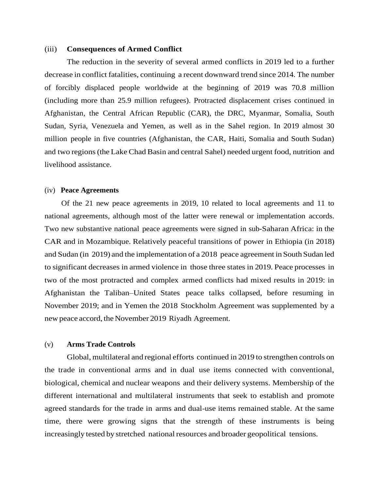### (iii) **Consequences of Armed Conflict**

The reduction in the severity of several armed conflicts in 2019 led to a further decrease in conflict fatalities, continuing a recent downward trend since 2014. The number of forcibly displaced people worldwide at the beginning of 2019 was 70.8 million (including more than 25.9 million refugees). Protracted displacement crises continued in Afghanistan, the Central African Republic (CAR), the DRC, Myanmar, Somalia, South Sudan, Syria, Venezuela and Yemen, as well as in the Sahel region. In 2019 almost 30 million people in five countries (Afghanistan, the CAR, Haiti, Somalia and South Sudan) and two regions(the Lake Chad Basin and central Sahel) needed urgent food, nutrition and livelihood assistance.

#### (iv) **Peace Agreements**

Of the 21 new peace agreements in 2019, 10 related to local agreements and 11 to national agreements, although most of the latter were renewal or implementation accords. Two new substantive national peace agreements were signed in sub-Saharan Africa: in the CAR and in Mozambique. Relatively peaceful transitions of power in Ethiopia (in 2018) and Sudan (in 2019) and the implementation of a 2018 peace agreement in South Sudan led to significant decreases in armed violence in those three states in 2019. Peace processes in two of the most protracted and complex armed conflicts had mixed results in 2019: in Afghanistan the Taliban–United States peace talks collapsed, before resuming in November 2019; and in Yemen the 2018 Stockholm Agreement was supplemented by a newpeace accord, the November 2019 Riyadh Agreement.

# (v) **Arms Trade Controls**

Global, multilateral and regional efforts continued in 2019 to strengthen controls on the trade in conventional arms and in dual use items connected with conventional, biological, chemical and nuclear weapons and their delivery systems. Membership of the different international and multilateral instruments that seek to establish and promote agreed standards for the trade in arms and dual-use items remained stable. At the same time, there were growing signs that the strength of these instruments is being increasingly tested by stretched national resources and broader geopolitical tensions.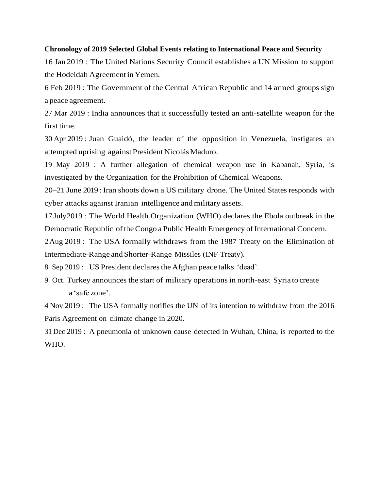# **Chronology of 2019 Selected Global Events relating to International Peace and Security**

16 Jan 2019 : The United Nations Security Council establishes a UN Mission to support the Hodeidah Agreement in Yemen.

6 Feb 2019 : The Government of the Central African Republic and 14 armed groups sign a peace agreement.

27 Mar 2019 : India announces that it successfully tested an anti-satellite weapon for the first time.

30 Apr 2019 : Juan Guaidó, the leader of the opposition in Venezuela, instigates an attempted uprising against President Nicolás Maduro.

19 May 2019 : A further allegation of chemical weapon use in Kabanah, Syria, is investigated by the Organization for the Prohibition of Chemical Weapons.

20–21 June 2019 : Iran shoots down a US military drone. The United Statesresponds with cyber attacks against Iranian intelligence and military assets.

17 July2019 : The World Health Organization (WHO) declares the Ebola outbreak in the Democratic Republic of the Congo a Public Health Emergency of International Concern.

2Aug 2019 : The USA formally withdraws from the 1987 Treaty on the Elimination of Intermediate-Range andShorter-Range Missiles (INF Treaty).

8 Sep 2019 : US President declares the Afghan peace talks 'dead'.

9 Oct. Turkey announces the start of military operations in north-east Syria to create a 'safe zone'.

4 Nov 2019 : The USA formally notifies the UN of its intention to withdraw from the 2016 Paris Agreement on climate change in 2020.

31 Dec 2019 : A pneumonia of unknown cause detected in Wuhan, China, is reported to the WHO.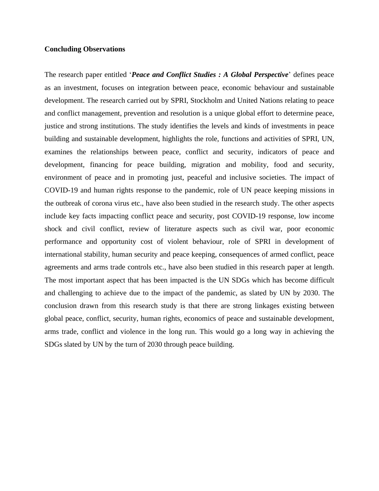## **Concluding Observations**

The research paper entitled '*Peace and Conflict Studies : A Global Perspective*' defines peace as an investment, focuses on integration between peace, economic behaviour and sustainable development. The research carried out by SPRI, Stockholm and United Nations relating to peace and conflict management, prevention and resolution is a unique global effort to determine peace, justice and strong institutions. The study identifies the levels and kinds of investments in peace building and sustainable development, highlights the role, functions and activities of SPRI, UN, examines the relationships between peace, conflict and security, indicators of peace and development, financing for peace building, migration and mobility, food and security, environment of peace and in promoting just, peaceful and inclusive societies. The impact of COVID-19 and human rights response to the pandemic, role of UN peace keeping missions in the outbreak of corona virus etc., have also been studied in the research study. The other aspects include key facts impacting conflict peace and security, post COVID-19 response, low income shock and civil conflict, review of literature aspects such as civil war, poor economic performance and opportunity cost of violent behaviour, role of SPRI in development of international stability, human security and peace keeping, consequences of armed conflict, peace agreements and arms trade controls etc., have also been studied in this research paper at length. The most important aspect that has been impacted is the UN SDGs which has become difficult and challenging to achieve due to the impact of the pandemic, as slated by UN by 2030. The conclusion drawn from this research study is that there are strong linkages existing between global peace, conflict, security, human rights, economics of peace and sustainable development, arms trade, conflict and violence in the long run. This would go a long way in achieving the SDGs slated by UN by the turn of 2030 through peace building.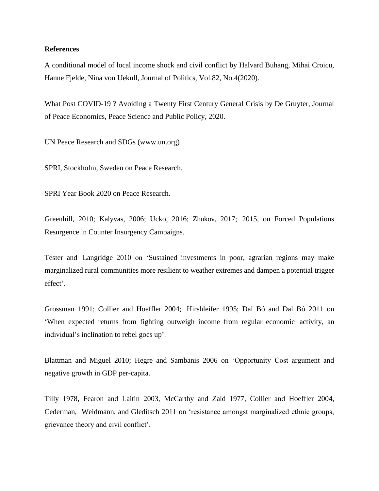## **References**

A conditional model of local income shock and civil conflict by Halvard Buhang, Mihai Croicu, Hanne Fjelde, Nina von Uekull, Journal of Politics, Vol.82, No.4(2020).

What Post COVID-19 ? Avoiding a Twenty First Century General Crisis by De Gruyter, Journal of Peace Economics, Peace Science and Public Policy, 2020.

UN Peace Research and SDGs (www.un.org)

SPRI, Stockholm, Sweden on Peace Research.

SPRI Year Book 2020 on Peace Research.

Greenhill, 2010; Kalyvas, 2006; Ucko, 2016; Zhukov, 2017; 2015, on Forced Populations Resurgence in Counter Insurgency Campaigns.

Tester and Langridge 2010 on 'Sustained investments in poor, agrarian regions may make marginalized rural communities more resilient to weather extremes and dampen a potential trigger effect'.

Grossman 1991; Collier and Hoeffler 2004; Hirshleifer 1995; Dal Bó and Dal Bó 2011 on 'When expected returns from fighting outweigh income from regular economic activity, an individual's inclination to rebel goes up'.

Blattman and Miguel 2010; Hegre and Sambanis 2006 on 'Opportunity Cost argument and negative growth in GDP per-capita.

Tilly 1978, Fearon and Laitin 2003, McCarthy and Zald 1977, Collier and Hoeffler 2004, Cederman, Weidmann, and Gleditsch 2011 on 'resistance amongst marginalized ethnic groups, grievance theory and civil conflict'.